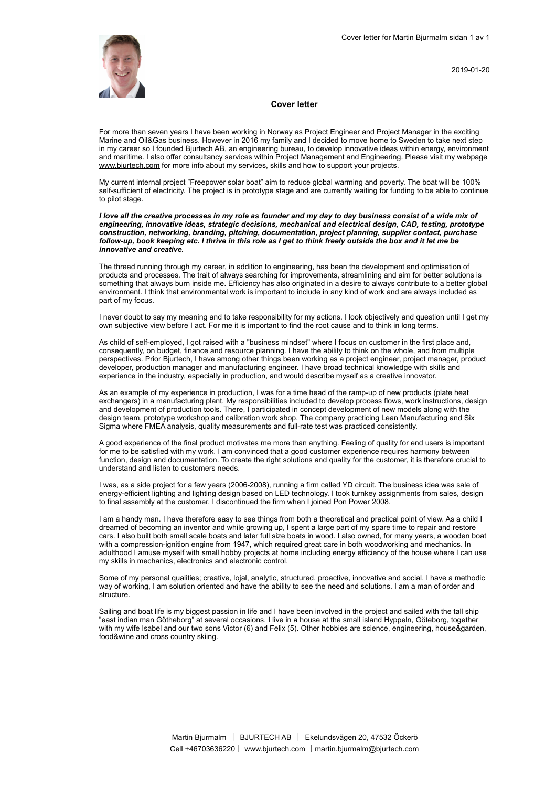

2019-01-20

#### **Cover letter**

For more than seven years I have been working in Norway as Project Engineer and Project Manager in the exciting Marine and Oil&Gas business. However in 2016 my family and I decided to move home to Sweden to take next step in my career so I founded Bjurtech AB, an engineering bureau, to develop innovative ideas within energy, environment and maritime. I also offer consultancy services within Project Management and Engineering. Please visit my webpage [www.bjurtech.com](http://www.bjurtech.com) for more info about my services, skills and how to support your projects.

My current internal project "Freepower solar boat" aim to reduce global warming and poverty. The boat will be 100% self-sufficient of electricity. The project is in prototype stage and are currently waiting for funding to be able to continue to pilot stage.

*I love all the creative processes in my role as founder and my day to day business consist of a wide mix of engineering, innovative ideas, strategic decisions, mechanical and electrical design, CAD, testing, prototype construction, networking, branding, pitching, documentation, project planning, supplier contact, purchase follow-up, book keeping etc. I thrive in this role as I get to think freely outside the box and it let me be innovative and creative.* 

The thread running through my career, in addition to engineering, has been the development and optimisation of products and processes. The trait of always searching for improvements, streamlining and aim for better solutions is something that always burn inside me. Efficiency has also originated in a desire to always contribute to a better global environment. I think that environmental work is important to include in any kind of work and are always included as part of my focus.

I never doubt to say my meaning and to take responsibility for my actions. I look objectively and question until I get my own subjective view before I act. For me it is important to find the root cause and to think in long terms.

As child of self-employed, I got raised with a "business mindset" where I focus on customer in the first place and, consequently, on budget, finance and resource planning. I have the ability to think on the whole, and from multiple perspectives. Prior Bjurtech, I have among other things been working as a project engineer, project manager, product developer, production manager and manufacturing engineer. I have broad technical knowledge with skills and experience in the industry, especially in production, and would describe myself as a creative innovator.

As an example of my experience in production, I was for a time head of the ramp-up of new products (plate heat exchangers) in a manufacturing plant. My responsibilities included to develop process flows, work instructions, design and development of production tools. There, I participated in concept development of new models along with the design team, prototype workshop and calibration work shop. The company practicing Lean Manufacturing and Six Sigma where FMEA analysis, quality measurements and full-rate test was practiced consistently.

A good experience of the final product motivates me more than anything. Feeling of quality for end users is important for me to be satisfied with my work. I am convinced that a good customer experience requires harmony between function, design and documentation. To create the right solutions and quality for the customer, it is therefore crucial to understand and listen to customers needs.

I was, as a side project for a few years (2006-2008), running a firm called YD circuit. The business idea was sale of energy-efficient lighting and lighting design based on LED technology. I took turnkey assignments from sales, design to final assembly at the customer. I discontinued the firm when I joined Pon Power 2008.

I am a handy man. I have therefore easy to see things from both a theoretical and practical point of view. As a child I dreamed of becoming an inventor and while growing up, I spent a large part of my spare time to repair and restore cars. I also built both small scale boats and later full size boats in wood. I also owned, for many years, a wooden boat with a compression-ignition engine from 1947, which required great care in both woodworking and mechanics. In adulthood I amuse myself with small hobby projects at home including energy efficiency of the house where I can use my skills in mechanics, electronics and electronic control.

Some of my personal qualities; creative, lojal, analytic, structured, proactive, innovative and social. I have a methodic way of working, I am solution oriented and have the ability to see the need and solutions. I am a man of order and structure.

Sailing and boat life is my biggest passion in life and I have been involved in the project and sailed with the tall ship "east indian man Götheborg" at several occasions. I live in a house at the small island Hyppeln, Göteborg, together with my wife Isabel and our two sons Victor (6) and Felix (5). Other hobbies are science, engineering, house&garden, food&wine and cross country skiing.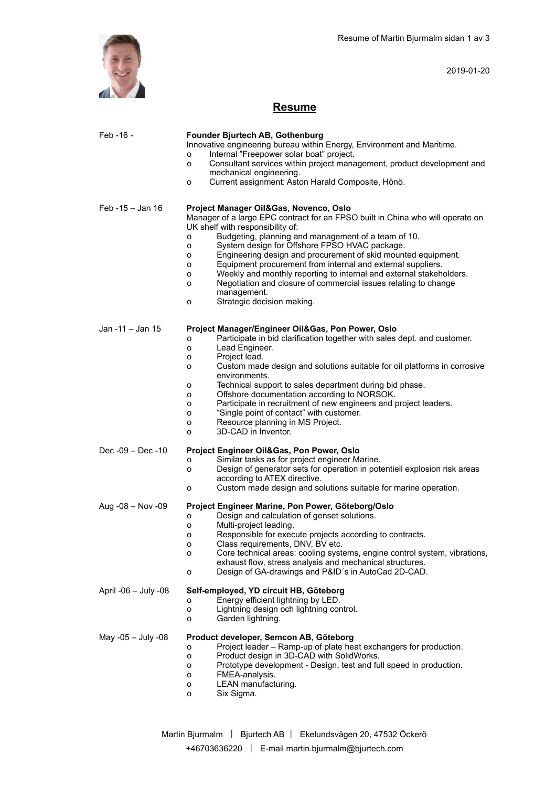

2019-01-20

# **Resume**

| Feb -16 -            | Founder Bjurtech AB, Gothenburg                                                                                      |
|----------------------|----------------------------------------------------------------------------------------------------------------------|
|                      | Innovative engineering bureau within Energy, Environment and Maritime.                                               |
|                      | Internal "Freepower solar boat" project.<br>о                                                                        |
|                      | Consultant services within project management, product development and<br>o                                          |
|                      | mechanical engineering.                                                                                              |
|                      | Current assignment: Aston Harald Composite, Hönö.<br>о                                                               |
|                      |                                                                                                                      |
| Feb -15 - Jan 16     | Project Manager Oil&Gas, Novenco, Oslo                                                                               |
|                      | Manager of a large EPC contract for an FPSO built in China who will operate on                                       |
|                      | UK shelf with responsibility of:                                                                                     |
|                      | Budgeting, planning and management of a team of 10.<br>o                                                             |
|                      | System design for Offshore FPSO HVAC package.<br>o                                                                   |
|                      | Engineering design and procurement of skid mounted equipment.<br>о                                                   |
|                      | Equipment procurement from internal and external suppliers.<br>о                                                     |
|                      | Weekly and monthly reporting to internal and external stakeholders.<br>о                                             |
|                      | Negotiation and closure of commercial issues relating to change<br>о                                                 |
|                      | management.                                                                                                          |
|                      | Strategic decision making.<br>o                                                                                      |
|                      |                                                                                                                      |
| Jan -11 - Jan 15     | Project Manager/Engineer Oil&Gas, Pon Power, Oslo                                                                    |
|                      | Participate in bid clarification together with sales dept. and customer.<br>о                                        |
|                      | Lead Engineer.<br>o                                                                                                  |
|                      | Project lead.<br>о                                                                                                   |
|                      | Custom made design and solutions suitable for oil platforms in corrosive<br>0                                        |
|                      | environments.                                                                                                        |
|                      | Technical support to sales department during bid phase.<br>о<br>Offshore documentation according to NORSOK.<br>o     |
|                      | Participate in recruitment of new engineers and project leaders.<br>о                                                |
|                      | "Single point of contact" with customer.<br>о                                                                        |
|                      | Resource planning in MS Project.<br>о                                                                                |
|                      |                                                                                                                      |
|                      | 3D-CAD in Inventor.<br>o                                                                                             |
|                      |                                                                                                                      |
| $Dec -09 - Dec -10$  | Project Engineer Oil&Gas, Pon Power, Oslo                                                                            |
|                      | Similar tasks as for project engineer Marine.<br>о                                                                   |
|                      | Design of generator sets for operation in potentiell explosion risk areas<br>0                                       |
|                      | according to ATEX directive.<br>о                                                                                    |
|                      | Custom made design and solutions suitable for marine operation.                                                      |
| Aug $-08 - Nov -09$  | Project Engineer Marine, Pon Power, Göteborg/Oslo                                                                    |
|                      | Design and calculation of genset solutions.<br>о                                                                     |
|                      | Multi-project leading.<br>о                                                                                          |
|                      | Responsible for execute projects according to contracts.<br>о                                                        |
|                      | Class requirements, DNV, BV etc.<br>о                                                                                |
|                      | Core technical areas: cooling systems, engine control system, vibrations,<br>о                                       |
|                      | exhaust flow, stress analysis and mechanical structures.<br>Design of GA-drawings and P&ID's in AutoCad 2D-CAD.<br>o |
|                      |                                                                                                                      |
| April -06 - July -08 | Self-employed, YD circuit HB, Göteborg                                                                               |
|                      | Energy efficient lightning by LED.<br>о                                                                              |
|                      | Lightning design och lightning control.<br>о                                                                         |
|                      | Garden lightning.<br>o                                                                                               |
| May -05 $-$ July -08 | Product developer, Semcon AB, Göteborg                                                                               |
|                      | Project leader - Ramp-up of plate heat exchangers for production.<br>о                                               |
|                      | Product design in 3D-CAD with SolidWorks.<br>o                                                                       |
|                      | Prototype development - Design, test and full speed in production.<br>о                                              |
|                      | FMEA-analysis.<br>о                                                                                                  |
|                      | LEAN manufacturing.<br>о<br>Six Sigma.<br>0                                                                          |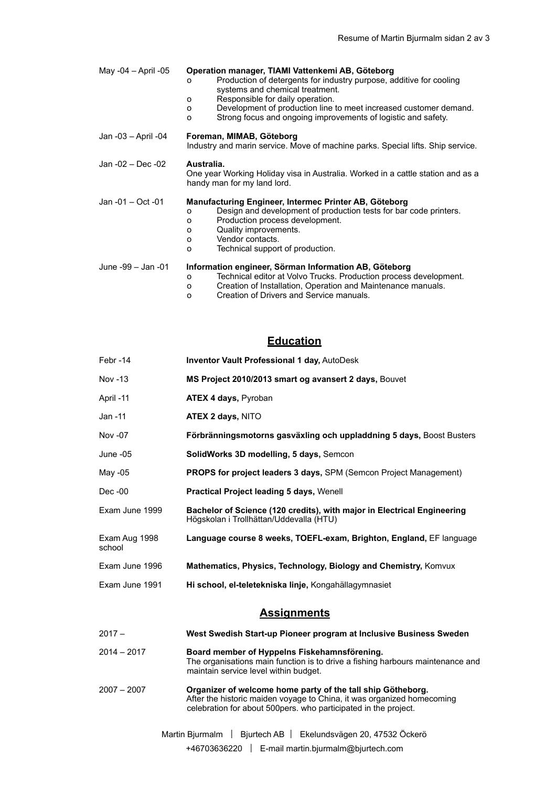| May -04 - April -05 | Operation manager, TIAMI Vattenkemi AB, Göteborg<br>Production of detergents for industry purpose, additive for cooling<br>0<br>systems and chemical treatment.<br>Responsible for daily operation.<br>O<br>Development of production line to meet increased customer demand.<br>0<br>Strong focus and ongoing improvements of logistic and safety.<br>$\Omega$ |
|---------------------|-----------------------------------------------------------------------------------------------------------------------------------------------------------------------------------------------------------------------------------------------------------------------------------------------------------------------------------------------------------------|
| Jan -03 - April -04 | Foreman, MIMAB, Göteborg<br>Industry and marin service. Move of machine parks. Special lifts. Ship service.                                                                                                                                                                                                                                                     |
| Jan -02 - Dec -02   | Australia.<br>One year Working Holiday visa in Australia. Worked in a cattle station and as a<br>handy man for my land lord.                                                                                                                                                                                                                                    |
| Jan -01 - Oct -01   | Manufacturing Engineer, Intermec Printer AB, Göteborg<br>Design and development of production tests for bar code printers.<br>0<br>Production process development.<br>0<br>Quality improvements.<br>0<br>Vendor contacts.<br>0<br>Technical support of production.<br>$\Omega$                                                                                  |
| June -99 - Jan -01  | Information engineer, Sörman Information AB, Göteborg<br>Technical editor at Volvo Trucks. Production process development.<br>$\circ$<br>Creation of Installation, Operation and Maintenance manuals.<br>0                                                                                                                                                      |

o Creation of Drivers and Service manuals.

## **Education**

| Febr-14                 | <b>Inventor Vault Professional 1 day, AutoDesk</b>                                                                                                                                                        |  |
|-------------------------|-----------------------------------------------------------------------------------------------------------------------------------------------------------------------------------------------------------|--|
| Nov -13                 | MS Project 2010/2013 smart og avansert 2 days, Bouvet                                                                                                                                                     |  |
| April -11               | ATEX 4 days, Pyroban                                                                                                                                                                                      |  |
| Jan -11                 | <b>ATEX 2 days, NITO</b>                                                                                                                                                                                  |  |
| Nov -07                 | Förbränningsmotorns gasväxling och uppladdning 5 days, Boost Busters                                                                                                                                      |  |
| June -05                | SolidWorks 3D modelling, 5 days, Semcon                                                                                                                                                                   |  |
| May -05                 | PROPS for project leaders 3 days, SPM (Semcon Project Management)                                                                                                                                         |  |
| Dec -00                 | Practical Project leading 5 days, Wenell                                                                                                                                                                  |  |
| Exam June 1999          | Bachelor of Science (120 credits), with major in Electrical Engineering<br>Högskolan i Trollhättan/Uddevalla (HTU)                                                                                        |  |
| Exam Aug 1998<br>school | Language course 8 weeks, TOEFL-exam, Brighton, England, EF language                                                                                                                                       |  |
| Exam June 1996          | Mathematics, Physics, Technology, Biology and Chemistry, Komvux                                                                                                                                           |  |
| Exam June 1991          | Hi school, el-teletekniska linje, Kongahällagymnasiet                                                                                                                                                     |  |
| <b>Assignments</b>      |                                                                                                                                                                                                           |  |
| $2017 -$                | West Swedish Start-up Pioneer program at Inclusive Business Sweden                                                                                                                                        |  |
| $2014 - 2017$           | Board member of Hyppelns Fiskehamnsförening.<br>The organisations main function is to drive a fishing harbours maintenance and<br>maintain service level within budget.                                   |  |
| $2007 - 2007$           | Organizer of welcome home party of the tall ship Götheborg.<br>After the historic maiden voyage to China, it was organized homecoming<br>celebration for about 500 pers. who participated in the project. |  |
|                         | Ekelundsvägen 20, 47532 Öckerö<br>Martin Bjurmalm<br>Bjurtech AB                                                                                                                                          |  |

+46703636220 | E-mail martin.bjurmalm@bjurtech.com